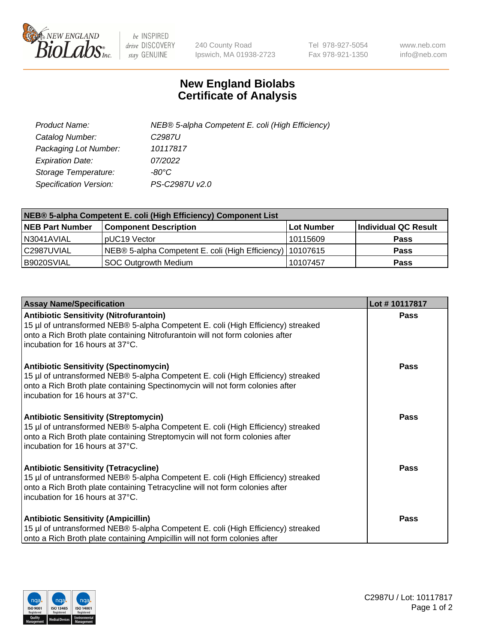

 $be$  INSPIRED drive DISCOVERY stay GENUINE

240 County Road Ipswich, MA 01938-2723 Tel 978-927-5054 Fax 978-921-1350 www.neb.com info@neb.com

## **New England Biolabs Certificate of Analysis**

| Product Name:           | NEB® 5-alpha Competent E. coli (High Efficiency) |
|-------------------------|--------------------------------------------------|
| Catalog Number:         | C <sub>2987</sub> U                              |
| Packaging Lot Number:   | 10117817                                         |
| <b>Expiration Date:</b> | 07/2022                                          |
| Storage Temperature:    | -80°C                                            |
| Specification Version:  | PS-C2987U v2.0                                   |

| NEB® 5-alpha Competent E. coli (High Efficiency) Component List |                                                             |            |                      |  |
|-----------------------------------------------------------------|-------------------------------------------------------------|------------|----------------------|--|
| <b>NEB Part Number</b>                                          | <b>Component Description</b>                                | Lot Number | Individual QC Result |  |
| N3041AVIAL                                                      | pUC19 Vector                                                | 10115609   | <b>Pass</b>          |  |
| C2987UVIAL                                                      | NEB® 5-alpha Competent E. coli (High Efficiency)   10107615 |            | <b>Pass</b>          |  |
| B9020SVIAL                                                      | SOC Outgrowth Medium                                        | 10107457   | <b>Pass</b>          |  |

| <b>Assay Name/Specification</b>                                                                                                                                                                                                                          | Lot #10117817 |
|----------------------------------------------------------------------------------------------------------------------------------------------------------------------------------------------------------------------------------------------------------|---------------|
| <b>Antibiotic Sensitivity (Nitrofurantoin)</b><br>15 µl of untransformed NEB® 5-alpha Competent E. coli (High Efficiency) streaked<br>onto a Rich Broth plate containing Nitrofurantoin will not form colonies after<br>incubation for 16 hours at 37°C. | Pass          |
| <b>Antibiotic Sensitivity (Spectinomycin)</b><br>15 µl of untransformed NEB® 5-alpha Competent E. coli (High Efficiency) streaked<br>onto a Rich Broth plate containing Spectinomycin will not form colonies after<br>incubation for 16 hours at 37°C.   | Pass          |
| <b>Antibiotic Sensitivity (Streptomycin)</b><br>15 µl of untransformed NEB® 5-alpha Competent E. coli (High Efficiency) streaked<br>onto a Rich Broth plate containing Streptomycin will not form colonies after<br>incubation for 16 hours at 37°C.     | Pass          |
| <b>Antibiotic Sensitivity (Tetracycline)</b><br>15 µl of untransformed NEB® 5-alpha Competent E. coli (High Efficiency) streaked<br>onto a Rich Broth plate containing Tetracycline will not form colonies after<br>incubation for 16 hours at 37°C.     | Pass          |
| <b>Antibiotic Sensitivity (Ampicillin)</b><br>15 µl of untransformed NEB® 5-alpha Competent E. coli (High Efficiency) streaked<br>onto a Rich Broth plate containing Ampicillin will not form colonies after                                             | Pass          |